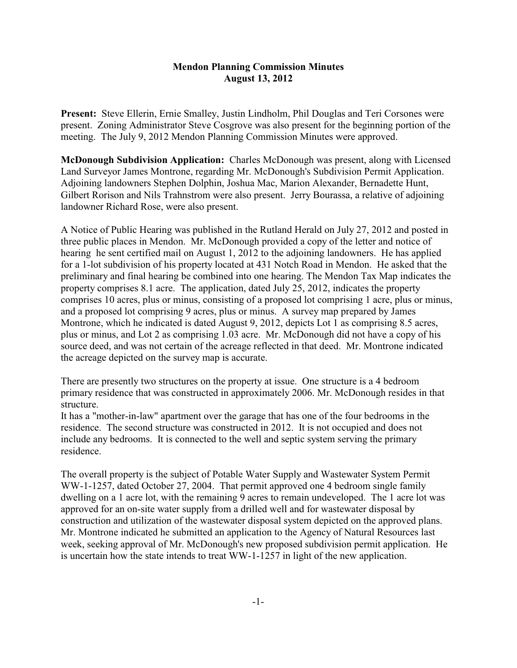## **Mendon Planning Commission Minutes August 13, 2012**

**Present:** Steve Ellerin, Ernie Smalley, Justin Lindholm, Phil Douglas and Teri Corsones were present. Zoning Administrator Steve Cosgrove was also present for the beginning portion of the meeting. The July 9, 2012 Mendon Planning Commission Minutes were approved.

**McDonough Subdivision Application:** Charles McDonough was present, along with Licensed Land Surveyor James Montrone, regarding Mr. McDonough's Subdivision Permit Application. Adjoining landowners Stephen Dolphin, Joshua Mac, Marion Alexander, Bernadette Hunt, Gilbert Rorison and Nils Trahnstrom were also present. Jerry Bourassa, a relative of adjoining landowner Richard Rose, were also present.

A Notice of Public Hearing was published in the Rutland Herald on July 27, 2012 and posted in three public places in Mendon. Mr. McDonough provided a copy of the letter and notice of hearing he sent certified mail on August 1, 2012 to the adjoining landowners. He has applied for a 1-lot subdivision of his property located at 431 Notch Road in Mendon. He asked that the preliminary and final hearing be combined into one hearing. The Mendon Tax Map indicates the property comprises 8.1 acre. The application, dated July 25, 2012, indicates the property comprises 10 acres, plus or minus, consisting of a proposed lot comprising 1 acre, plus or minus, and a proposed lot comprising 9 acres, plus or minus. A survey map prepared by James Montrone, which he indicated is dated August 9, 2012, depicts Lot 1 as comprising 8.5 acres, plus or minus, and Lot 2 as comprising 1.03 acre. Mr. McDonough did not have a copy of his source deed, and was not certain of the acreage reflected in that deed. Mr. Montrone indicated the acreage depicted on the survey map is accurate.

There are presently two structures on the property at issue. One structure is a 4 bedroom primary residence that was constructed in approximately 2006. Mr. McDonough resides in that structure.

It has a "mother-in-law" apartment over the garage that has one of the four bedrooms in the residence. The second structure was constructed in 2012. It is not occupied and does not include any bedrooms. It is connected to the well and septic system serving the primary residence.

The overall property is the subject of Potable Water Supply and Wastewater System Permit WW-1-1257, dated October 27, 2004. That permit approved one 4 bedroom single family dwelling on a 1 acre lot, with the remaining 9 acres to remain undeveloped. The 1 acre lot was approved for an on-site water supply from a drilled well and for wastewater disposal by construction and utilization of the wastewater disposal system depicted on the approved plans. Mr. Montrone indicated he submitted an application to the Agency of Natural Resources last week, seeking approval of Mr. McDonough's new proposed subdivision permit application. He is uncertain how the state intends to treat WW-1-1257 in light of the new application.